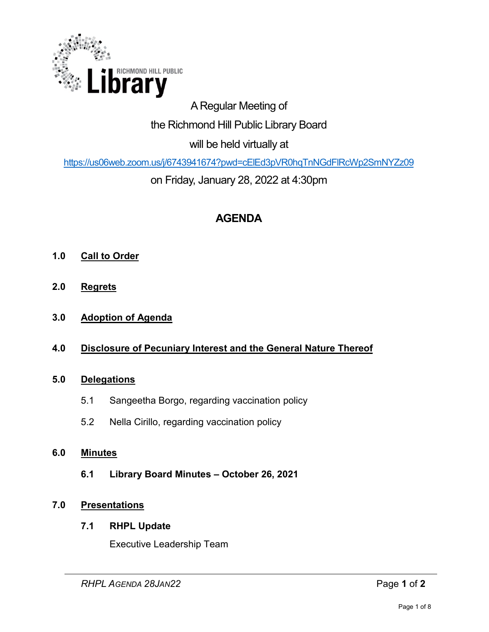

# A Regular Meeting of the Richmond Hill Public Library Board will be held virtually at

<https://us06web.zoom.us/j/6743941674?pwd=cElEd3pVR0hqTnNGdFlRcWp2SmNYZz09>

on Friday, January 28, 2022 at 4:30pm

# **AGENDA**

- **1.0 Call to Order**
- **2.0 Regrets**
- **3.0 Adoption of Agenda**
- **4.0 Disclosure of Pecuniary Interest and the General Nature Thereof**

# **5.0 Delegations**

- 5.1 Sangeetha Borgo, regarding vaccination policy
- 5.2 Nella Cirillo, regarding vaccination policy

# **6.0 Minutes**

**6.1 Library Board Minutes – October 26, 2021**

# **7.0 Presentations**

## **7.1 RHPL Update**

Executive Leadership Team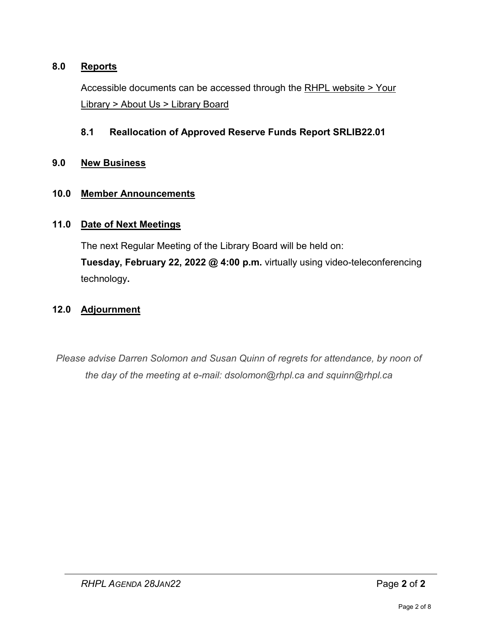## **8.0 Reports**

Accessible documents can be accessed through the [RHPL website > Your](https://www.rhpl.ca/your-library/about-us/library-board)  Library [> About Us > Library Board](https://www.rhpl.ca/your-library/about-us/library-board)

## **8.1 Reallocation of Approved Reserve Funds Report SRLIB22.01**

### **9.0 New Business**

### **10.0 Member Announcements**

### **11.0 Date of Next Meetings**

The next Regular Meeting of the Library Board will be held on:

**Tuesday, February 22, 2022 @ 4:00 p.m.** virtually using video-teleconferencing technology**.** 

# **12.0 Adjournment**

*Please advise Darren Solomon and Susan Quinn of regrets for attendance, by noon of the day of the meeting at e-mail: dsolomon@rhpl.ca and squinn@rhpl.ca*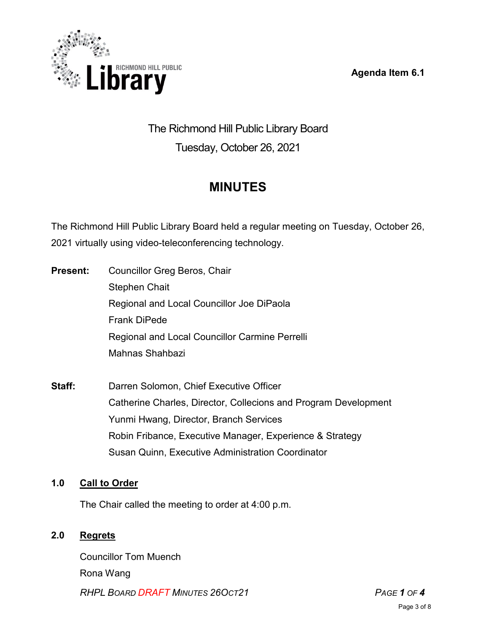**Agenda Item 6.1** 



# The Richmond Hill Public Library Board Tuesday, October 26, 2021

# **MINUTES**

The Richmond Hill Public Library Board held a regular meeting on Tuesday, October 26, 2021 virtually using video-teleconferencing technology.

- **Present:** Councillor Greg Beros, Chair Stephen Chait Regional and Local Councillor Joe DiPaola Frank DiPede Regional and Local Councillor Carmine Perrelli Mahnas Shahbazi
- **Staff:** Darren Solomon, Chief Executive Officer Catherine Charles, Director, Collecions and Program Development Yunmi Hwang, Director, Branch Services Robin Fribance, Executive Manager, Experience & Strategy Susan Quinn, Executive Administration Coordinator

# **1.0 Call to Order**

The Chair called the meeting to order at 4:00 p.m.

# **2.0 Regrets**

*RHPL BOARD DRAFT MINUTES 26OCT21 PAGE 1 OF 4* Councillor Tom Muench Rona Wang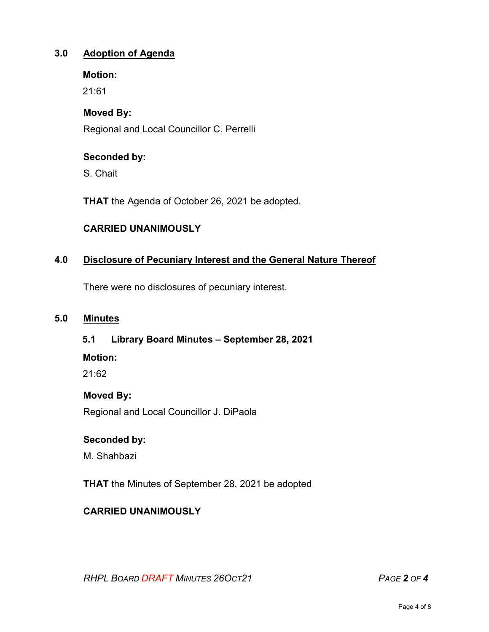## **3.0 Adoption of Agenda**

#### **Motion:**

21:61

## **Moved By:**

Regional and Local Councillor C. Perrelli

# **Seconded by:**

S. Chait

**THAT** the Agenda of October 26, 2021 be adopted.

# **CARRIED UNANIMOUSLY**

# **4.0 Disclosure of Pecuniary Interest and the General Nature Thereof**

There were no disclosures of pecuniary interest.

#### **5.0 Minutes**

## **5.1 Library Board Minutes – September 28, 2021**

**Motion:**

21:62

## **Moved By:**

Regional and Local Councillor J. DiPaola

## **Seconded by:**

M. Shahbazi

**THAT** the Minutes of September 28, 2021 be adopted

# **CARRIED UNANIMOUSLY**

*RHPL BOARD DRAFT MINUTES 26OCT21 PAGE 2 OF 4*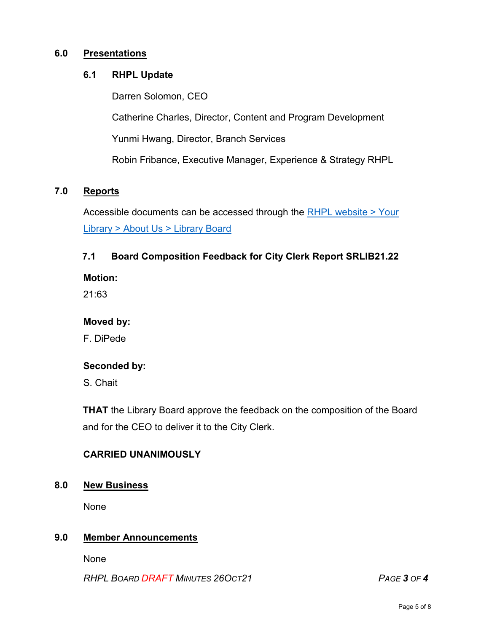#### **6.0 Presentations**

### **6.1 RHPL Update**

Darren Solomon, CEO

Catherine Charles, Director, Content and Program Development

Yunmi Hwang, Director, Branch Services

Robin Fribance, Executive Manager, Experience & Strategy RHPL

### **7.0 Reports**

Accessible documents can be accessed through the [RHPL website > Your](https://www.rhpl.ca/your-library/about-us/library-board)  Library [> About Us > Library](https://www.rhpl.ca/your-library/about-us/library-board) Board

## **7.1 Board Composition Feedback for City Clerk Report SRLIB21.22**

**Motion:** 

21:63

#### **Moved by:**

F. DiPede

#### **Seconded by:**

S. Chait

**THAT** the Library Board approve the feedback on the composition of the Board and for the CEO to deliver it to the City Clerk.

## **CARRIED UNANIMOUSLY**

#### **8.0 New Business**

None

#### **9.0 Member Announcements**

None

*RHPL BOARD DRAFT MINUTES 26OCT21 PAGE 3 OF 4*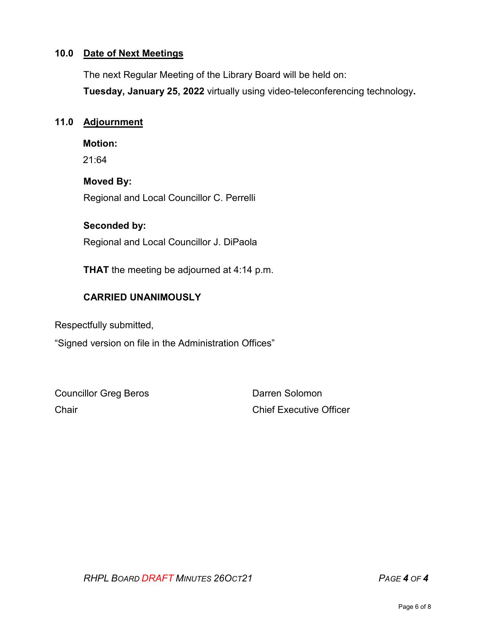#### **10.0 Date of Next Meetings**

The next Regular Meeting of the Library Board will be held on: **Tuesday, January 25, 2022** virtually using video-teleconferencing technology**.** 

#### **11.0 Adjournment**

**Motion:** 

21:64

### **Moved By:**

Regional and Local Councillor C. Perrelli

### **Seconded by:**

Regional and Local Councillor J. DiPaola

**THAT** the meeting be adjourned at 4:14 p.m.

# **CARRIED UNANIMOUSLY**

Respectfully submitted,

"Signed version on file in the Administration Offices"

Councillor Greg Beros **Darren Solomon** Chair Chair Chief Executive Officer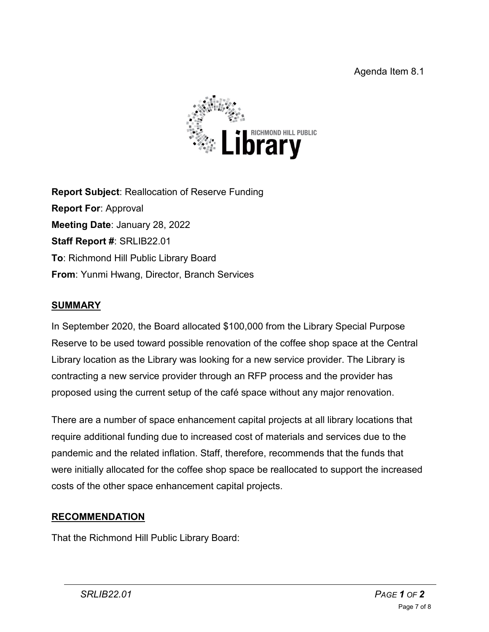

**Report Subject**: Reallocation of Reserve Funding **Report For**: Approval **Meeting Date**: January 28, 2022 **Staff Report #**: SRLIB22.01 **To**: Richmond Hill Public Library Board **From**: Yunmi Hwang, Director, Branch Services

# **SUMMARY**

In September 2020, the Board allocated \$100,000 from the Library Special Purpose Reserve to be used toward possible renovation of the coffee shop space at the Central Library location as the Library was looking for a new service provider. The Library is contracting a new service provider through an RFP process and the provider has proposed using the current setup of the café space without any major renovation.

There are a number of space enhancement capital projects at all library locations that require additional funding due to increased cost of materials and services due to the pandemic and the related inflation. Staff, therefore, recommends that the funds that were initially allocated for the coffee shop space be reallocated to support the increased costs of the other space enhancement capital projects.

# **RECOMMENDATION**

That the Richmond Hill Public Library Board: